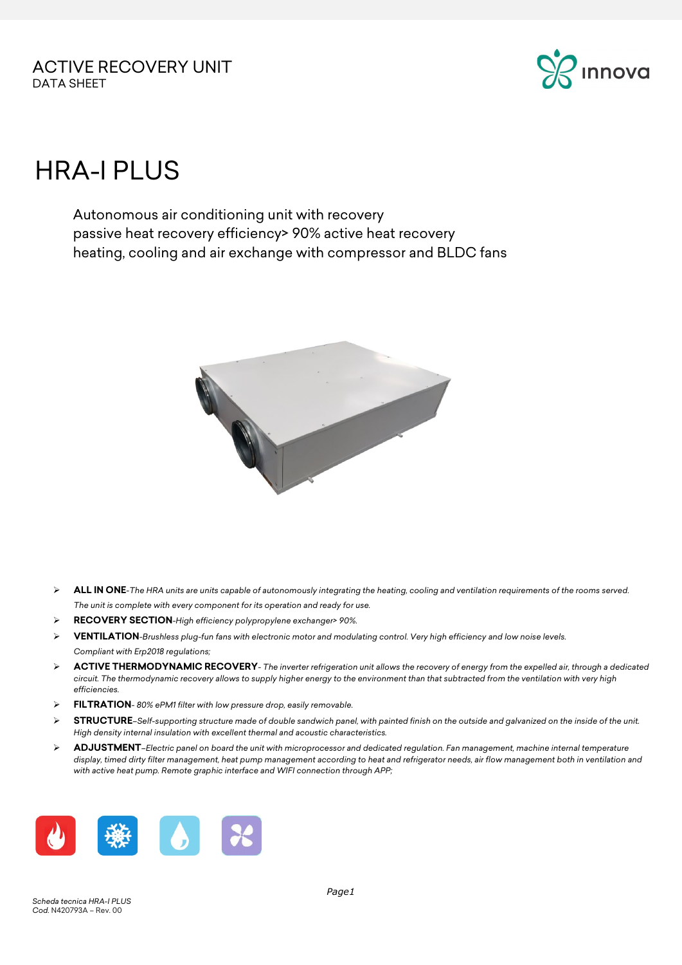

# HRA-I PLUS

Autonomous air conditioning unit with recovery passive heat recovery efficiency> 90% active heat recovery heating, cooling and air exchange with compressor and BLDC fans



- **ALL IN ONE***-The HRA units are units capable of autonomously integrating the heating, cooling and ventilation requirements of the rooms served. The unit is complete with every component for its operation and ready for use.*
- **RECOVERY SECTION***-High efficiency polypropylene exchanger> 90%.*
- **VENTILATION***-Brushless plug-fun fans with electronic motor and modulating control. Very high efficiency and low noise levels. Compliant with Erp2018 regulations;*
- **ACTIVE THERMODYNAMIC RECOVERY** *The inverter refrigeration unit allows the recovery of energy from the expelled air, through a dedicated circuit. The thermodynamic recovery allows to supply higher energy to the environment than that subtracted from the ventilation with very high efficiencies.*
- **FILTRATION** *80% ePM1 filter with low pressure drop, easily removable.*
- **STRUCTURE***–Self-supporting structure made of double sandwich panel, with painted finish on the outside and galvanized on the inside of the unit. High density internal insulation with excellent thermal and acoustic characteristics.*
- **ADJUSTMENT***–Electric panel on board the unit with microprocessor and dedicated regulation. Fan management, machine internal temperature display, timed dirty filter management, heat pump management according to heat and refrigerator needs, air flow management both in ventilation and with active heat pump. Remote graphic interface and WIFI connection through APP;*

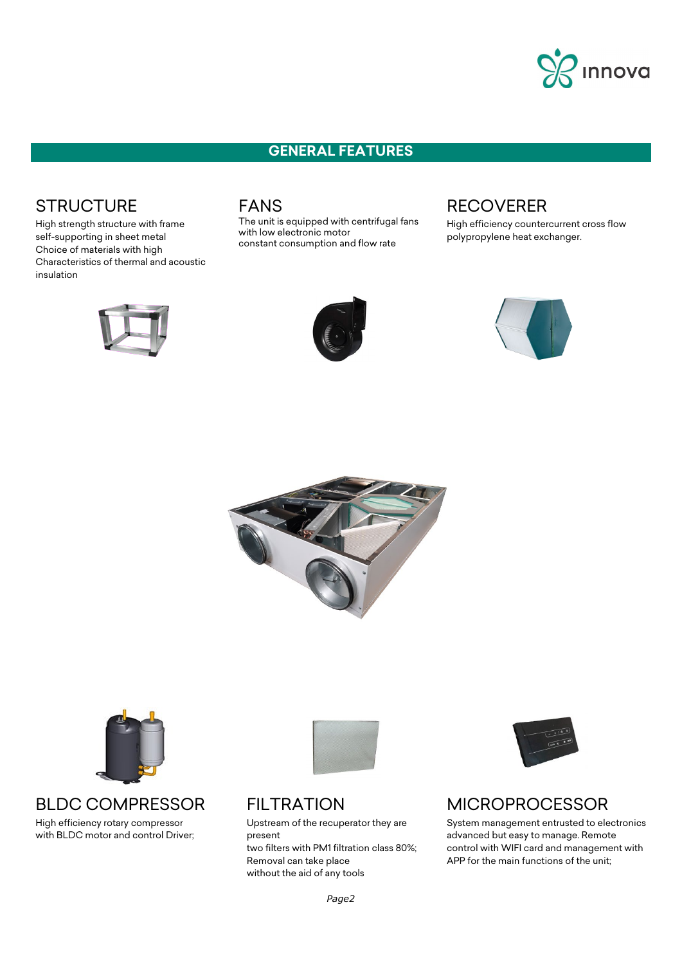

### **GENERAL FEATURES**

# **STRUCTURE**

High strength structure with frame self-supporting in sheet metal Choice of materials with high Characteristics of thermal and acoustic insulation





The unit is equipped with centrifugal fans with low electronic motor constant consumption and flow rate

### RECOVERER

High efficiency countercurrent cross flow polypropylene heat exchanger.









# BLDC COMPRESSOR

High efficiency rotary compressor with BLDC motor and control Driver;



# **FILTRATION**

Upstream of the recuperator they are present two filters with PM1 filtration class 80%; Removal can take place without the aid of any tools



# **MICROPROCESSOR**

System management entrusted to electronics advanced but easy to manage. Remote control with WIFI card and management with APP for the main functions of the unit;

*Page2*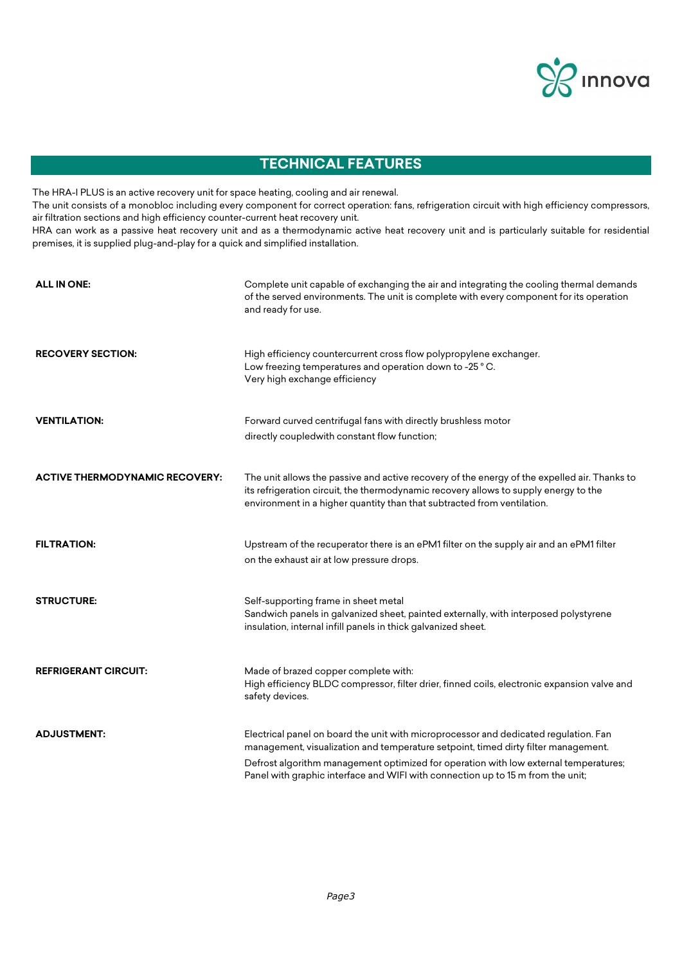

### **TECHNICAL FEATURES**

The HRA-I PLUS is an active recovery unit for space heating, cooling and air renewal.

The unit consists of a monobloc including every component for correct operation: fans, refrigeration circuit with high efficiency compressors, air filtration sections and high efficiency counter-current heat recovery unit.

HRA can work as a passive heat recovery unit and as a thermodynamic active heat recovery unit and is particularly suitable for residential premises, it is supplied plug-and-play for a quick and simplified installation.

| <b>ALL IN ONE:</b>                    | Complete unit capable of exchanging the air and integrating the cooling thermal demands<br>of the served environments. The unit is complete with every component for its operation<br>and ready for use.                                                                                                                                              |
|---------------------------------------|-------------------------------------------------------------------------------------------------------------------------------------------------------------------------------------------------------------------------------------------------------------------------------------------------------------------------------------------------------|
| <b>RECOVERY SECTION:</b>              | High efficiency countercurrent cross flow polypropylene exchanger.<br>Low freezing temperatures and operation down to -25 °C.<br>Very high exchange efficiency                                                                                                                                                                                        |
| <b>VENTILATION:</b>                   | Forward curved centrifugal fans with directly brushless motor<br>directly coupledwith constant flow function;                                                                                                                                                                                                                                         |
| <b>ACTIVE THERMODYNAMIC RECOVERY:</b> | The unit allows the passive and active recovery of the energy of the expelled air. Thanks to<br>its refrigeration circuit, the thermodynamic recovery allows to supply energy to the<br>environment in a higher quantity than that subtracted from ventilation.                                                                                       |
| <b>FILTRATION:</b>                    | Upstream of the recuperator there is an ePM1 filter on the supply air and an ePM1 filter<br>on the exhaust air at low pressure drops.                                                                                                                                                                                                                 |
| <b>STRUCTURE:</b>                     | Self-supporting frame in sheet metal<br>Sandwich panels in galvanized sheet, painted externally, with interposed polystyrene<br>insulation, internal infill panels in thick galvanized sheet.                                                                                                                                                         |
| <b>REFRIGERANT CIRCUIT:</b>           | Made of brazed copper complete with:<br>High efficiency BLDC compressor, filter drier, finned coils, electronic expansion valve and<br>safety devices.                                                                                                                                                                                                |
| <b>ADJUSTMENT:</b>                    | Electrical panel on board the unit with microprocessor and dedicated regulation. Fan<br>management, visualization and temperature setpoint, timed dirty filter management.<br>Defrost algorithm management optimized for operation with low external temperatures;<br>Panel with graphic interface and WIFI with connection up to 15 m from the unit; |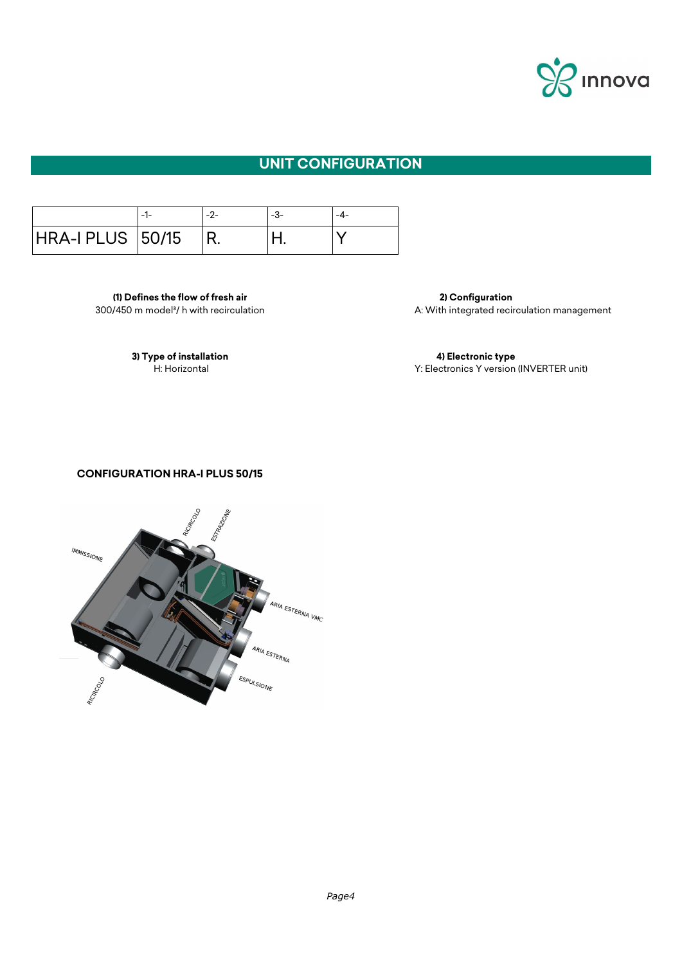

# **UNIT CONFIGURATION**

|                  |  | -3- |  |
|------------------|--|-----|--|
| HRA-I PLUS 50/15 |  |     |  |

**(1) Defines the flow of fresh air** 300/450 m model<sup>3</sup>/ h with recirculation

**2) Configuration** A: With integrated recirculation management

**3) Type of installation** H: Horizontal

**4) Electronic type** Y: Electronics Y version (INVERTER unit)

**CONFIGURATION HRA-I PLUS 50/15**

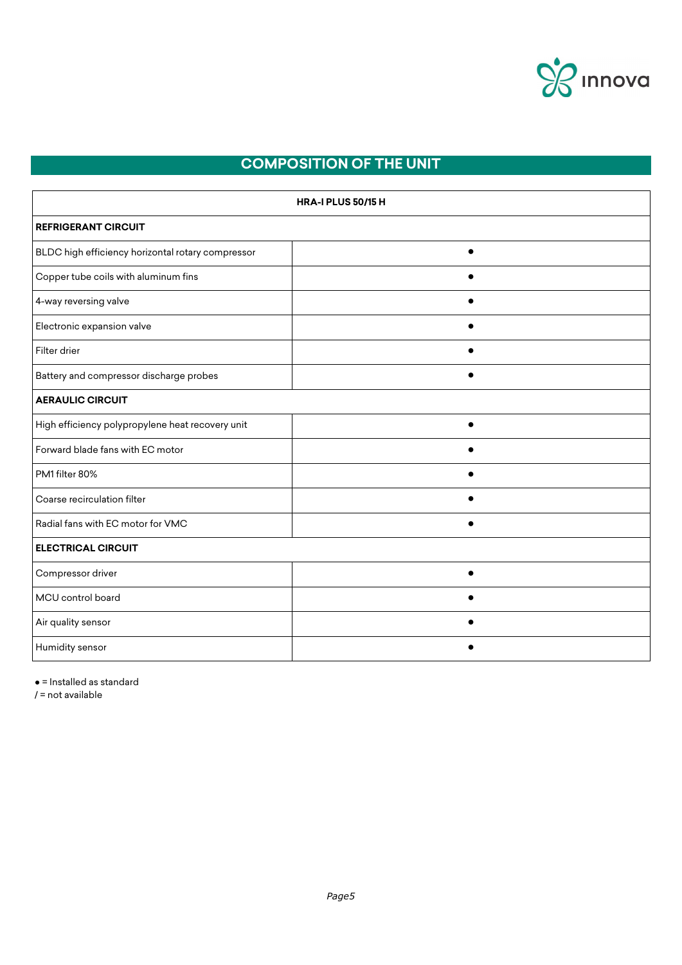

# **COMPOSITION OF THE UNIT**

| HRA-I PLUS 50/15 H                                |           |  |
|---------------------------------------------------|-----------|--|
| <b>REFRIGERANT CIRCUIT</b>                        |           |  |
| BLDC high efficiency horizontal rotary compressor | $\bullet$ |  |
| Copper tube coils with aluminum fins              | $\bullet$ |  |
| 4-way reversing valve                             |           |  |
| Electronic expansion valve                        |           |  |
| Filter drier                                      |           |  |
| Battery and compressor discharge probes           |           |  |
| <b>AERAULIC CIRCUIT</b>                           |           |  |
| High efficiency polypropylene heat recovery unit  |           |  |
| Forward blade fans with EC motor                  |           |  |
| PM1 filter 80%                                    |           |  |
| Coarse recirculation filter                       |           |  |
| Radial fans with EC motor for VMC                 |           |  |
| <b>ELECTRICAL CIRCUIT</b>                         |           |  |
| Compressor driver                                 | $\bullet$ |  |
| MCU control board                                 | $\bullet$ |  |
| Air quality sensor                                |           |  |
| Humidity sensor                                   |           |  |

● = Installed as standard

/ = not available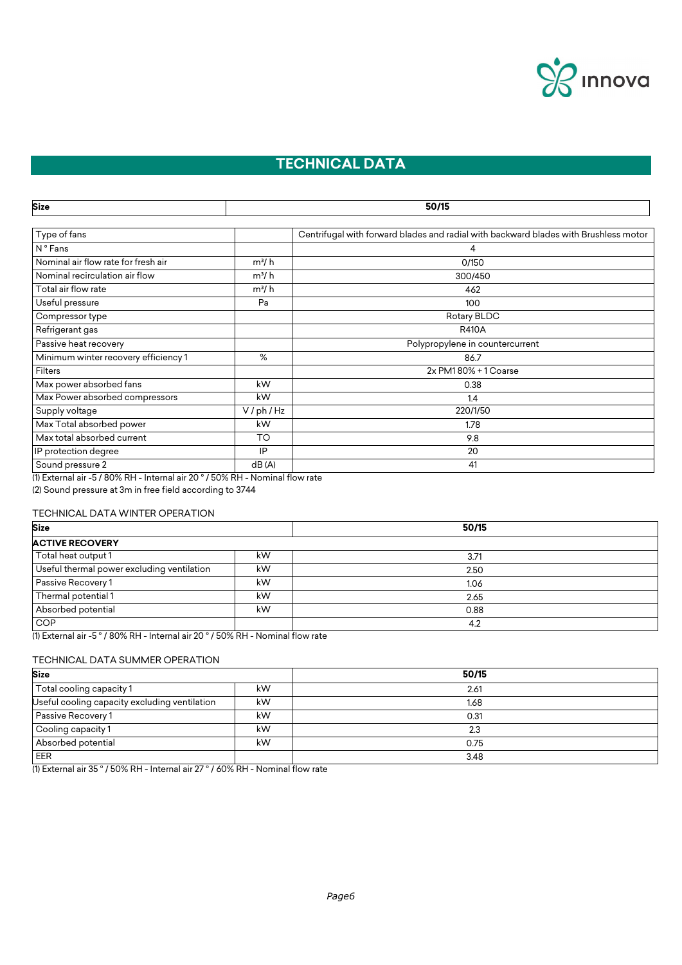

### **TECHNICAL DATA**

| Size                                 | 50/15   |                                                                                      |
|--------------------------------------|---------|--------------------------------------------------------------------------------------|
|                                      |         |                                                                                      |
| Type of fans                         |         | Centrifugal with forward blades and radial with backward blades with Brushless motor |
| N ° Fans                             |         | 4                                                                                    |
| Nominal air flow rate for fresh air  | $m^3/h$ | 0/150                                                                                |
| Nominal recirculation air flow       | $m^3/h$ | 300/450                                                                              |
| Total air flow rate                  | $m^3/h$ | 462                                                                                  |
| Useful pressure                      | Pa      | 100                                                                                  |
| Compressor type                      |         | Rotary BLDC                                                                          |
| Refrigerant gas                      |         | <b>R410A</b>                                                                         |
| Passive heat recovery                |         | Polypropylene in countercurrent                                                      |
| Minimum winter recovery efficiency 1 | %       | 86.7                                                                                 |
| <b>Filters</b>                       |         | 2x PM180% + 1 Coarse                                                                 |
| Max power absorbed fans              | kW      | 0.38                                                                                 |
| Max Power absorbed compressors       | kW      | 1.4                                                                                  |
| Supply voltage                       | V/ph/Hz | 220/1/50                                                                             |
| Max Total absorbed power             | kW.     | 1.78                                                                                 |
| Max total absorbed current           | TO      | 9.8                                                                                  |
| IP protection degree                 | IP      | 20                                                                                   |
| Sound pressure 2                     | dB(A)   | 41                                                                                   |

(1) External air -5 / 80% RH - Internal air 20 ° / 50% RH - Nominal flow rate

(2) Sound pressure at 3m in free field according to 3744

#### TECHNICAL DATA WINTER OPERATION

| <b>Size</b>                                |     | 50/15 |  |
|--------------------------------------------|-----|-------|--|
| <b>ACTIVE RECOVERY</b>                     |     |       |  |
| Total heat output 1                        | kW. | 3.71  |  |
| Useful thermal power excluding ventilation | kW  | 2.50  |  |
| Passive Recovery 1                         | kW  | 1.06  |  |
| Thermal potential 1                        | kW  | 2.65  |  |
| Absorbed potential                         | kW  | 0.88  |  |
| COP                                        |     | 4.2   |  |

(1) External air -5 ° / 80% RH - Internal air 20 ° / 50% RH - Nominal flow rate

#### TECHNICAL DATA SUMMER OPERATION

| <b>Size</b>                                   |    | 50/15 |
|-----------------------------------------------|----|-------|
| Total cooling capacity 1                      | kW | 2.61  |
| Useful cooling capacity excluding ventilation | kW | 1.68  |
| Passive Recovery 1                            | kW | 0.31  |
| Cooling capacity 1                            | kW | 2.3   |
| Absorbed potential                            | kW | 0.75  |
| EER                                           |    | 3.48  |

(1) External air 35 ° / 50% RH - Internal air 27 ° / 60% RH - Nominal flow rate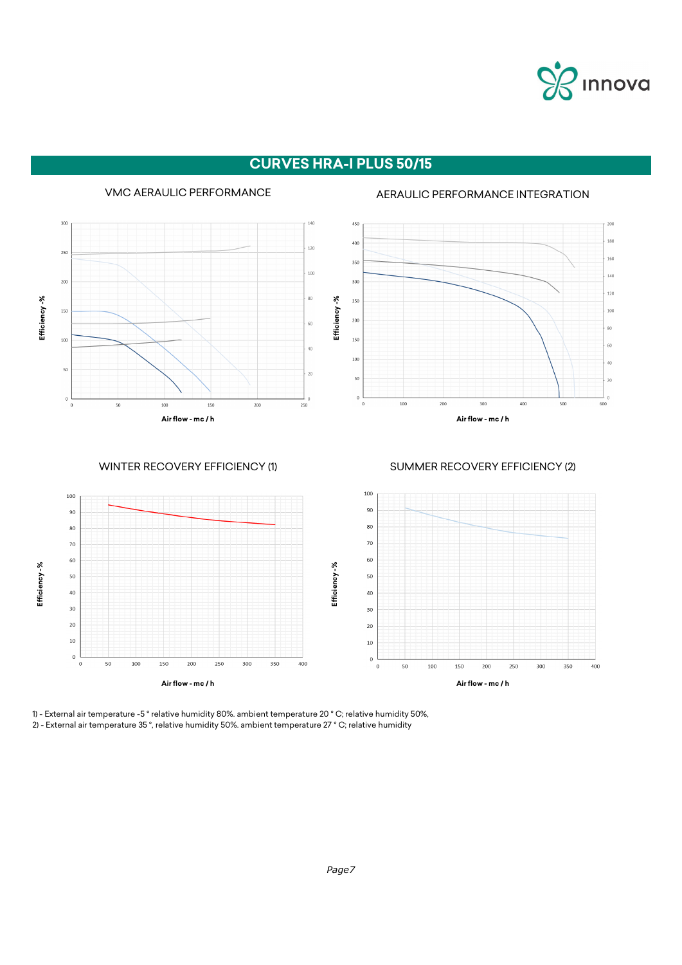

### **CURVES HRA-I PLUS 50/15**



1) - External air temperature -5 ° relative humidity 80%. ambient temperature 20 ° C; relative humidity 50%, 2) - External air temperature 35 °, relative humidity 50%. ambient temperature 27 ° C; relative humidity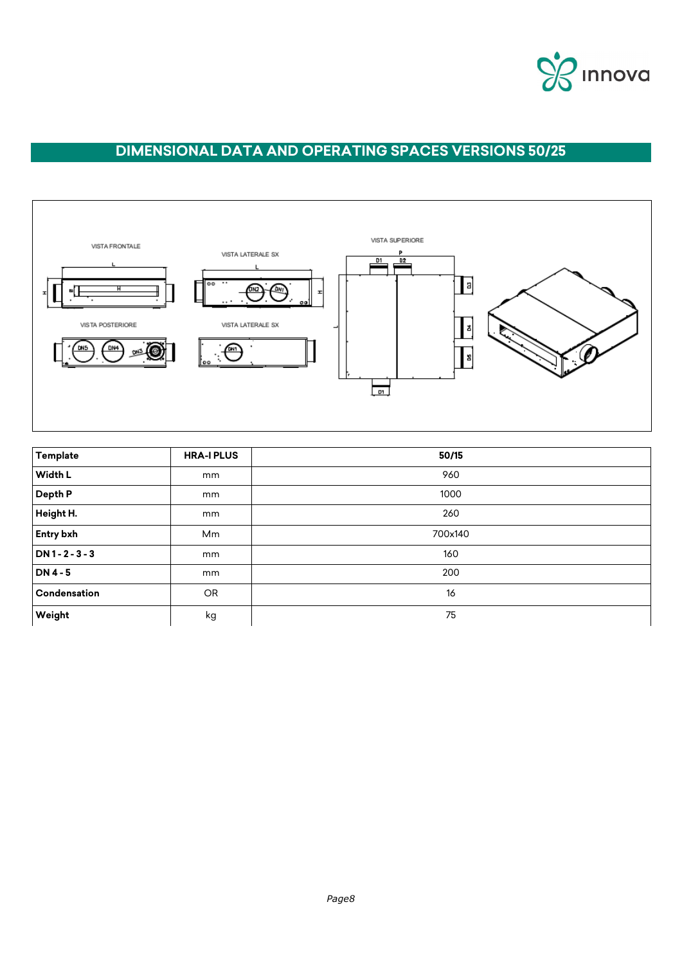

### **DIMENSIONAL DATA AND OPERATING SPACES VERSIONS 50/25**



| Template          | <b>HRA-I PLUS</b> | 50/15   |
|-------------------|-------------------|---------|
| Width L           | mm                | 960     |
| Depth P           | mm                | 1000    |
| Height H.         | mm                | 260     |
| <b>Entry bxh</b>  | Mm                | 700x140 |
| $DN1 - 2 - 3 - 3$ | mm                | 160     |
| <b>DN4-5</b>      | mm                | 200     |
| Condensation      | <b>OR</b>         | 16      |
| Weight            | kg                | 75      |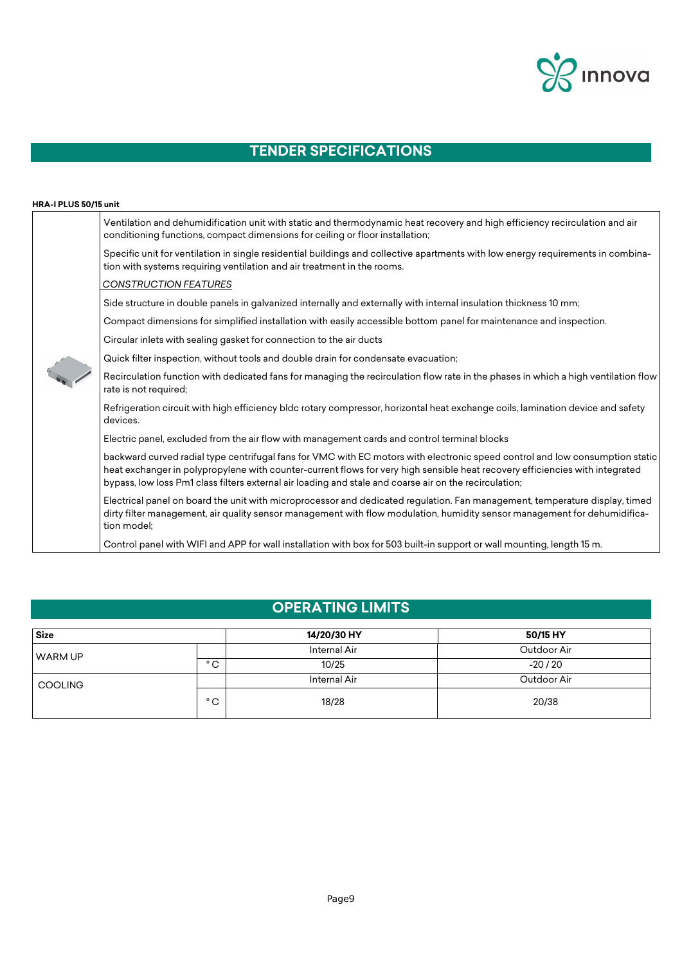

# **TENDER SPECIFICATIONS**

| HRA-I PLUS 50/15 unit |                                                                                                                                                                                                                                                                                                                                                                        |
|-----------------------|------------------------------------------------------------------------------------------------------------------------------------------------------------------------------------------------------------------------------------------------------------------------------------------------------------------------------------------------------------------------|
|                       | Ventilation and dehumidification unit with static and thermodynamic heat recovery and high efficiency recirculation and air<br>conditioning functions, compact dimensions for ceiling or floor installation;                                                                                                                                                           |
|                       | Specific unit for ventilation in single residential buildings and collective apartments with low energy requirements in combina-<br>tion with systems requiring ventilation and air treatment in the rooms.                                                                                                                                                            |
|                       | <b>CONSTRUCTION FEATURES</b>                                                                                                                                                                                                                                                                                                                                           |
|                       | Side structure in double panels in galvanized internally and externally with internal insulation thickness 10 mm;                                                                                                                                                                                                                                                      |
|                       | Compact dimensions for simplified installation with easily accessible bottom panel for maintenance and inspection.                                                                                                                                                                                                                                                     |
|                       | Circular inlets with sealing gasket for connection to the air ducts                                                                                                                                                                                                                                                                                                    |
|                       | Quick filter inspection, without tools and double drain for condensate evacuation;                                                                                                                                                                                                                                                                                     |
|                       | Recirculation function with dedicated fans for managing the recirculation flow rate in the phases in which a high ventilation flow<br>rate is not required;                                                                                                                                                                                                            |
|                       | Refrigeration circuit with high efficiency bldc rotary compressor, horizontal heat exchange coils, lamination device and safety<br>devices.                                                                                                                                                                                                                            |
|                       | Electric panel, excluded from the air flow with management cards and control terminal blocks                                                                                                                                                                                                                                                                           |
|                       | backward curved radial type centrifugal fans for VMC with EC motors with electronic speed control and low consumption static<br>heat exchanger in polypropylene with counter-current flows for very high sensible heat recovery efficiencies with integrated<br>bypass, low loss Pm1 class filters external air loading and stale and coarse air on the recirculation; |
|                       | Electrical panel on board the unit with microprocessor and dedicated regulation. Fan management, temperature display, timed<br>dirty filter management, air quality sensor management with flow modulation, humidity sensor management for dehumidifica-<br>tion model;                                                                                                |
|                       | Control panel with WIFI and APP for wall installation with box for 503 built-in support or wall mounting, length 15 m.                                                                                                                                                                                                                                                 |

# **OPERATING LIMITS**

| <b>Size</b>    |                     | 14/20/30 HY  | 50/15 HY    |
|----------------|---------------------|--------------|-------------|
| WARM UP        |                     | Internal Air | Outdoor Air |
|                | $\circ$ $\sim$<br>◡ | 10/25        | $-20/20$    |
| <b>COOLING</b> |                     | Internal Air | Outdoor Air |
|                | $\circ$ $\sim$<br>◡ | 18/28        | 20/38       |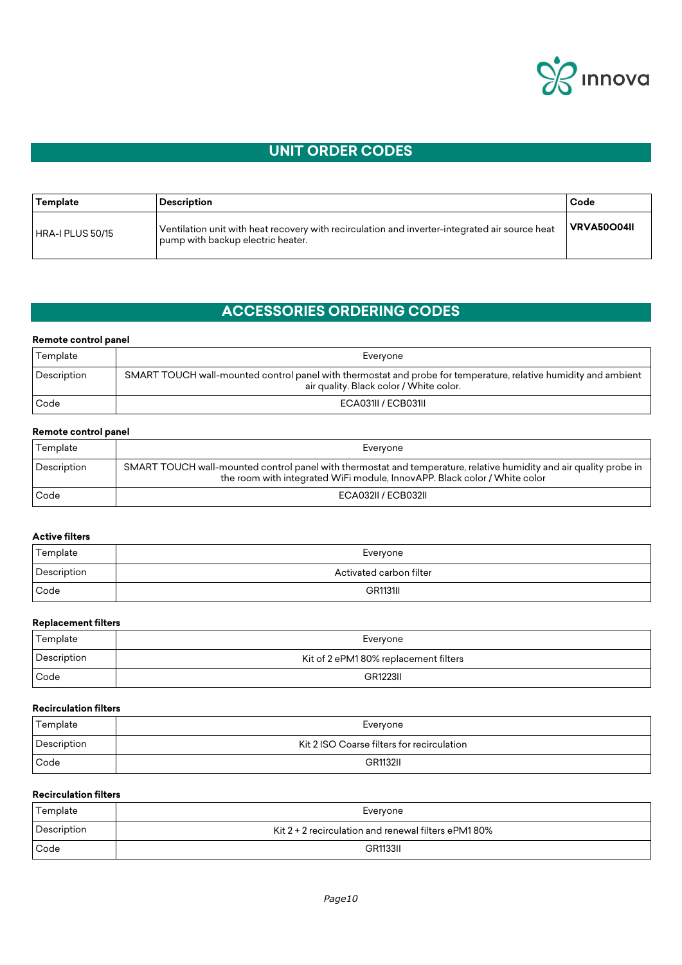

### **UNIT ORDER CODES**

| Template         | <b>Description</b>                                                                                                                  | Code               |
|------------------|-------------------------------------------------------------------------------------------------------------------------------------|--------------------|
| HRA-I PLUS 50/15 | Ventilation unit with heat recovery with recirculation and inverter-integrated air source heat<br>pump with backup electric heater. | <b>VRVA50O04II</b> |

### **ACCESSORIES ORDERING CODES**

#### **Remote control panel**

| Template    | Everyone                                                                                                                                                   |
|-------------|------------------------------------------------------------------------------------------------------------------------------------------------------------|
| Description | SMART TOUCH wall-mounted control panel with thermostat and probe for temperature, relative humidity and ambient<br>air quality. Black color / White color. |
| Code        | ECA031II / ECB031II                                                                                                                                        |

### **Remote control panel**

| Template    | Everyone                                                                                                                                                                                        |
|-------------|-------------------------------------------------------------------------------------------------------------------------------------------------------------------------------------------------|
| Description | SMART TOUCH wall-mounted control panel with thermostat and temperature, relative humidity and air quality probe in<br>the room with integrated WiFi module, InnovAPP. Black color / White color |
| Code        | ECA032II / ECB032II                                                                                                                                                                             |

### **Active filters**

| Template    | Everyone                |
|-------------|-------------------------|
| Description | Activated carbon filter |
| Code        | <b>GR1131II</b>         |

### **Replacement filters**

| Template    | Everyone                              |
|-------------|---------------------------------------|
| Description | Kit of 2 ePM1 80% replacement filters |
| Code        | <b>GR1223II</b>                       |

### **Recirculation filters**

| Template           | Everyone                                   |
|--------------------|--------------------------------------------|
| <b>Description</b> | Kit 2 ISO Coarse filters for recirculation |
| Code               | <b>GR1132II</b>                            |

### **Recirculation filters**

| Template                  | Everyone                                              |
|---------------------------|-------------------------------------------------------|
| <i><b>Description</b></i> | Kit $2 + 2$ recirculation and renewal filters ePM180% |
| Code                      | <b>GR1133II</b>                                       |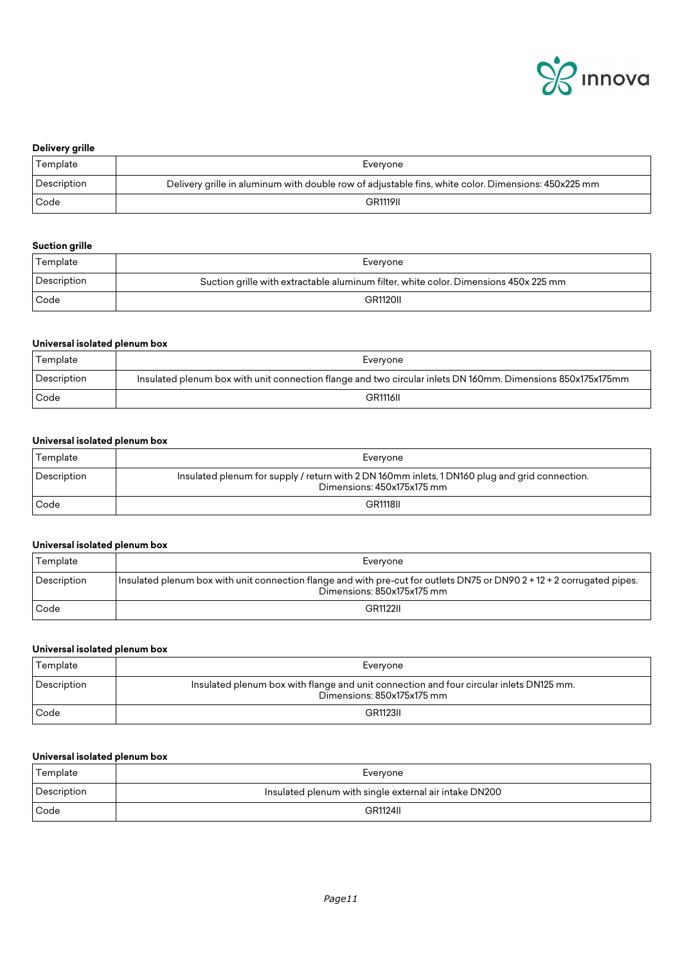

### **Delivery grille**

| Template    | Everyone                                                                                            |
|-------------|-----------------------------------------------------------------------------------------------------|
| Description | Delivery grille in aluminum with double row of adjustable fins, white color. Dimensions: 450x225 mm |
| Code        | <b>GR1119II</b>                                                                                     |

#### **Suction grille**

| Template    | Everyone                                                                             |
|-------------|--------------------------------------------------------------------------------------|
| Description | Suction grille with extractable aluminum filter, white color. Dimensions 450x 225 mm |
| Code        | <b>GR1120II</b>                                                                      |

### **Universal isolated plenum box**

| Template    | Everyone                                                                                                    |
|-------------|-------------------------------------------------------------------------------------------------------------|
| Description | Insulated plenum box with unit connection flange and two circular inlets DN 160mm. Dimensions 850x175x175mm |
| Code        | <b>GR1116II</b>                                                                                             |

#### **Universal isolated plenum box**

| Template    | Evervone                                                                                                                     |
|-------------|------------------------------------------------------------------------------------------------------------------------------|
| Description | Insulated plenum for supply / return with 2 DN 160mm inlets, 1 DN160 plug and grid connection.<br>Dimensions: 450x175x175 mm |
| Code        | GR1118II                                                                                                                     |

#### **Universal isolated plenum box**

| Template    | Everyone                                                                                                                                              |
|-------------|-------------------------------------------------------------------------------------------------------------------------------------------------------|
| Description | Insulated plenum box with unit connection flange and with pre-cut for outlets DN75 or DN90 2 + 12 + 2 corrugated pipes.<br>Dimensions: 850x175x175 mm |
| Code        | <b>GR1122II</b>                                                                                                                                       |

#### **Universal isolated plenum box**

| Template    | Everyone                                                                                                              |
|-------------|-----------------------------------------------------------------------------------------------------------------------|
| Description | Insulated plenum box with flange and unit connection and four circular inlets DN125 mm.<br>Dimensions: 850x175x175 mm |
| Code        | <b>GR1123II</b>                                                                                                       |

#### **Universal isolated plenum box**

| 'Template   | Evervone                                               |
|-------------|--------------------------------------------------------|
| Description | Insulated plenum with single external air intake DN200 |
| Code        | <b>GR1124II</b>                                        |